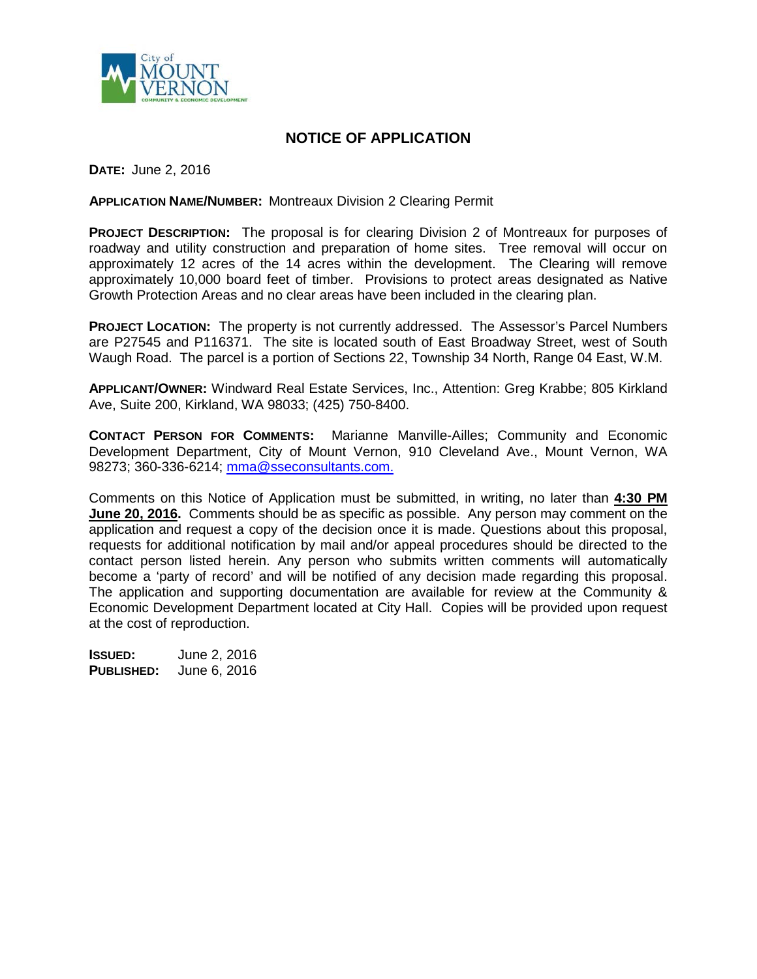

## **NOTICE OF APPLICATION**

**DATE:** June 2, 2016

**APPLICATION NAME/NUMBER:** Montreaux Division 2 Clearing Permit

**PROJECT DESCRIPTION:** The proposal is for clearing Division 2 of Montreaux for purposes of roadway and utility construction and preparation of home sites. Tree removal will occur on approximately 12 acres of the 14 acres within the development. The Clearing will remove approximately 10,000 board feet of timber. Provisions to protect areas designated as Native Growth Protection Areas and no clear areas have been included in the clearing plan.

**PROJECT LOCATION:** The property is not currently addressed. The Assessor's Parcel Numbers are P27545 and P116371. The site is located south of East Broadway Street, west of South Waugh Road. The parcel is a portion of Sections 22, Township 34 North, Range 04 East, W.M.

**APPLICANT/OWNER:** Windward Real Estate Services, Inc., Attention: Greg Krabbe; 805 Kirkland Ave, Suite 200, Kirkland, WA 98033; (425) 750-8400.

**CONTACT PERSON FOR COMMENTS:** Marianne Manville-Ailles; Community and Economic Development Department, City of Mount Vernon, 910 Cleveland Ave., Mount Vernon, WA 98273; 360-336-6214; [mma@sseconsultants.com.](mailto:mma@sseconsultants.com)

Comments on this Notice of Application must be submitted, in writing, no later than **4:30 PM June 20, 2016.** Comments should be as specific as possible. Any person may comment on the application and request a copy of the decision once it is made. Questions about this proposal, requests for additional notification by mail and/or appeal procedures should be directed to the contact person listed herein. Any person who submits written comments will automatically become a 'party of record' and will be notified of any decision made regarding this proposal. The application and supporting documentation are available for review at the Community & Economic Development Department located at City Hall. Copies will be provided upon request at the cost of reproduction.

**ISSUED:** June 2, 2016 **PUBLISHED:** June 6, 2016